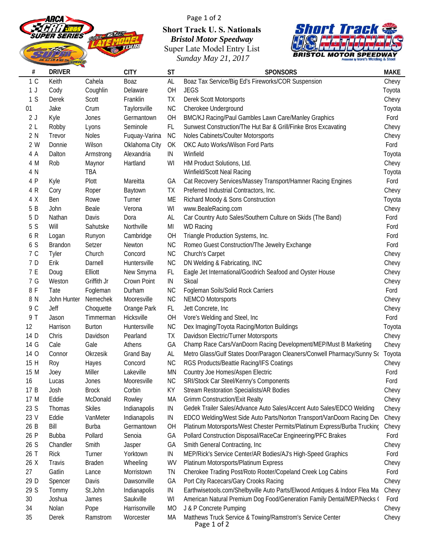

Page 1 of 2 **Short Track U. S. Nationals** *Bristol Motor Speedway* Super Late Model Entry List *Sunday May 21, 2017*



| #              | <b>DRIVER</b>  |               | <b>CITY</b>   | <b>ST</b> | <b>SPONSORS</b>                                                            | <b>MAKE</b> |
|----------------|----------------|---------------|---------------|-----------|----------------------------------------------------------------------------|-------------|
| 1 <sup>C</sup> | Keith          | Cahela        | Boaz          | AL        | Boaz Tax Service/Big Ed's Fireworks/COR Suspension                         | Chevy       |
| 1 J            | Cody           | Coughlin      | Delaware      | OH        | <b>JEGS</b>                                                                | Toyota      |
| 1 <sub>S</sub> | Derek          | Scott         | Franklin      | TX        | Derek Scott Motorsports                                                    | Chevy       |
| 01             | Jake           | Crum          | Taylorsville  | <b>NC</b> | Cherokee Underground                                                       | Toyota      |
| 2J             | Kyle           | Jones         | Germantown    | OH        | BMC/KJ Racing/Paul Gambles Lawn Care/Manley Graphics                       | Ford        |
| 2L             | Robby          | Lyons         | Seminole      | FL.       | Sunwest Construction/The Hut Bar & Grill/Finke Bros Excavating             | Chevy       |
| 2 N            | Trevor         | Noles         | Fuquay-Varina | <b>NC</b> | Noles Cabinets/Coulter Motorsports                                         | Chevy       |
| 2 W            | Donnie         | Wilson        | Oklahoma City | OK        | OKC Auto Works/Wilson Ford Parts                                           | Ford        |
| 4 A            | Dalton         | Armstrong     | Alexandria    | IN        | Winfield                                                                   | Toyota      |
| 4 M            | Rob            | Maynor        | Hartland      | WI        | HM Product Solutions, Ltd.                                                 | Chevy       |
| 4 N            |                | TBA           |               |           | Winfield/Scott Neal Racing                                                 | Toyota      |
| 4 P            | Kyle           | Plott         | Mareitta      | GA        | Cat Recovery Services/Massey Transport/Hamner Racing Engines               | Ford        |
| 4 R            | Cory           | Roper         | Baytown       | TX        | Preferred Industrial Contractors, Inc.                                     | Chevy       |
| 4 X            | Ben            | Rowe          | Turner        | ME        | Richard Moody & Sons Construction                                          | Toyota      |
| 5 B            | John           | Beale         | Verona        | WI        | www.BealeRacing.com                                                        | Chevy       |
| 5 D            | Nathan         | Davis         | Dora          | AL        | Car Country Auto Sales/Southern Culture on Skids (The Band)                | Ford        |
| 5 S            | Will           | Sahutske      | Northville    | MI        | <b>WD Racing</b>                                                           | Ford        |
| 6 R            | Logan          | Runyon        | Cambridge     | OH        | Triangle Production Systems, Inc.                                          | Ford        |
| 6 S            | <b>Brandon</b> | Setzer        | Newton        | <b>NC</b> | Romeo Guest Construction/The Jewelry Exchange                              | Ford        |
| 7 C            | Tyler          | Church        | Concord       | <b>NC</b> | Church's Carpet                                                            | Chevy       |
| 7 D            | Erik           | Darnell       | Huntersville  | <b>NC</b> | DN Welding & Fabricating, INC                                              | Chevy       |
| 7 E            | Doug           | Elliott       | New Smyrna    | FL        | Eagle Jet International/Goodrich Seafood and Oyster House                  | Chevy       |
| 7 G            | Weston         | Griffith Jr   | Crown Point   | IN        | Skoal                                                                      | Chevy       |
| 8 F            | Tate           | Fogleman      | Durham        | <b>NC</b> | Fogleman Soils/Solid Rock Carriers                                         | Ford        |
| 8 N            | John Hunter    | Nemechek      | Mooresville   | <b>NC</b> | <b>NEMCO Motorsports</b>                                                   | Chevy       |
| 9 C            | Jeff           | Choquette     | Orange Park   | FL.       | Jett Concrete, Inc                                                         | Chevy       |
| 9 T            | Jason          | Timmerman     | Hicksville    | OH        | Vore's Welding and Steel, Inc.                                             | Ford        |
| 12             | Harrison       | <b>Burton</b> | Huntersville  | NC        | Dex Imaging/Toyota Racing/Morton Buildings                                 | Toyota      |
| 14 D           | Chris          | Davidson      | Pearland      | TX        | Davidson Electric/Turner Motorsports                                       | Chevy       |
| 14 G           | Cale           | Gale          | Athens        | GA        | Champ Race Cars/VanDoorn Racing Development/MEP/Must B Marketing           | Chevy       |
| 14 O           | Connor         | Okrzesik      | Grand Bay     | AL        | Metro Glass/Gulf States Door/Paragon Cleaners/Conwell Pharmacy/Sunny So    | Toyota      |
| 15 H           | Roy            | Hayes         | Concord       | <b>NC</b> | RGS Products/Beattie Racing/IFS Coatings                                   | Chevy       |
| 15 M           | Joey           | Miller        | Lakeville     | <b>MN</b> | Country Joe Homes/Aspen Electric                                           | Ford        |
| 16             | Lucas          | Jones         | Mooresville   | <b>NC</b> | SRI/Stock Car Steel/Kenny's Components                                     | Ford        |
| 17 B           | Josh           | <b>Brock</b>  | Corbin        | KY        | <b>Stream Restoration Specialists/AR Bodies</b>                            | Chevy       |
| 17 M           | Eddie          | McDonald      | Rowley        | MA        | <b>Grimm Construction/Exit Realty</b>                                      | Chevy       |
| 23 S           | Thomas         | <b>Skiles</b> | Indianapolis  | IN        | Gedek Trailer Sales/Advance Auto Sales/Accent Auto Sales/EDCO Welding      | Chevy       |
| 23 V           | Eddie          | VanMeter      | Indianapolis  | IN        | EDCO Welding/West Side Auto Parts/Norton Transport/VanDoorn Racing Dev     | Chevy       |
| 26 B           | Bill           | <b>Burba</b>  | Germantown    | OH        | Platinum Motorsports/West Chester Permits/Platinum Express/Burba Trucking  | Chevy       |
| 26 P           | <b>Bubba</b>   | Pollard       | Senoia        | GA        | Pollard Construction Disposal/RaceCar Engineering/PFC Brakes               | Ford        |
| 26 S           | Chandler       | Smith         | Jasper        | GA        | Smith General Contracting, Inc.                                            | Chevy       |
| 26 T           | <b>Rick</b>    | Turner        | Yorktown      | IN        | MEP/Rick's Service Center/AR Bodies/AJ's High-Speed Graphics               | Ford        |
| 26 X           | Travis         | <b>Braden</b> | Wheeling      | <b>WV</b> | Platinum Motorsports/Platinum Express                                      | Chevy       |
| 27             | Gatlin         | Lance         | Morristown    | TN        | Cherokee Trading Post/Roto Rooter/Copeland Creek Log Cabins                | Ford        |
| 29 D           | Spencer        | Davis         | Dawsonville   | GA        | Port City Racecars/Gary Crooks Racing                                      | Chevy       |
| 29 S           | Tommy          | St.John       | Indianapolis  | IN        | Earthwisetools.com/Shelbyville Auto Parts/Elwood Antiques & Indoor Flea Ma | Chevy       |
| 30             | Joshua         | James         | Saukville     | WI        | American Natural Premium Dog Food/Generation Family Dental/MEP/Necks (     | Ford        |
| 34             | Nolan          | Pope          | Harrisonville | MO        | J & P Concrete Pumping                                                     | Chevy       |
| 35             | Derek          | Ramstrom      | Worcester     | МA        | Matthews Truck Service & Towing/Ramstrom's Service Center<br>Page 1 of 2   | Chevy       |